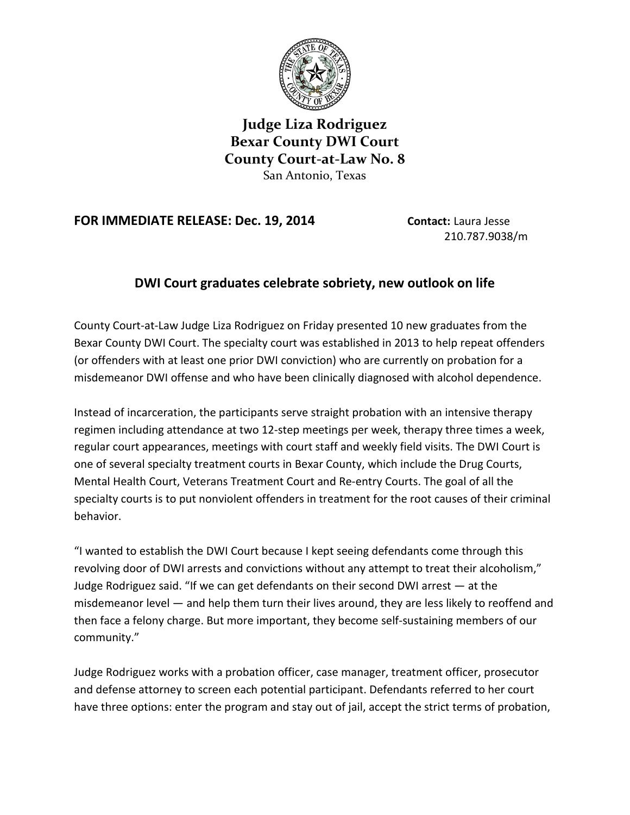

**Judge Liza Rodriguez Bexar County DWI Court County Court-at-Law No. 8** San Antonio, Texas

## **FOR IMMEDIATE RELEASE: Dec. 19, 2014 Contact:** Laura Jesse

210.787.9038/m

## **DWI Court graduates celebrate sobriety, new outlook on life**

County Court-at-Law Judge Liza Rodriguez on Friday presented 10 new graduates from the Bexar County DWI Court. The specialty court was established in 2013 to help repeat offenders (or offenders with at least one prior DWI conviction) who are currently on probation for a misdemeanor DWI offense and who have been clinically diagnosed with alcohol dependence.

Instead of incarceration, the participants serve straight probation with an intensive therapy regimen including attendance at two 12-step meetings per week, therapy three times a week, regular court appearances, meetings with court staff and weekly field visits. The DWI Court is one of several specialty treatment courts in Bexar County, which include the Drug Courts, Mental Health Court, Veterans Treatment Court and Re-entry Courts. The goal of all the specialty courts is to put nonviolent offenders in treatment for the root causes of their criminal behavior.

"I wanted to establish the DWI Court because I kept seeing defendants come through this revolving door of DWI arrests and convictions without any attempt to treat their alcoholism," Judge Rodriguez said. "If we can get defendants on their second DWI arrest — at the misdemeanor level — and help them turn their lives around, they are less likely to reoffend and then face a felony charge. But more important, they become self-sustaining members of our community."

Judge Rodriguez works with a probation officer, case manager, treatment officer, prosecutor and defense attorney to screen each potential participant. Defendants referred to her court have three options: enter the program and stay out of jail, accept the strict terms of probation,